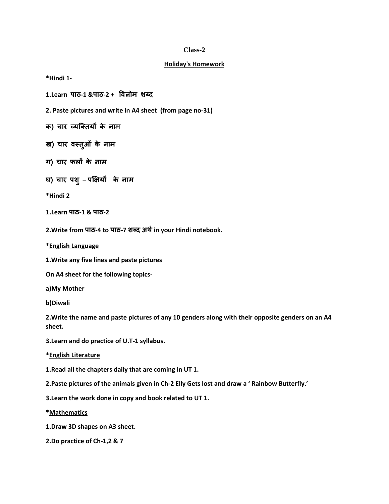## **Class-2**

## **Holiday's Homework**

**\*Hindi 1-**

**1.Learn पाठ-1 &पाठ-2 + विलोम शब्द** 

**2. Paste pictures and write in A4 sheet (from page no-31)** 

**क) चार व्यक्तियों के नाम**

**ख) चार िस्िुओं के नाम**

**ग) चार फलों के नाम**

**घ) चार पशु– पक्षियों के नाम**

**\*Hindi 2**

**1.Learn पाठ-1 & पाठ-2**

**2.Write from पाठ-4 to पाठ-7 शब्द अर्थin your Hindi notebook.**

**\*English Language** 

**1.Write any five lines and paste pictures** 

**On A4 sheet for the following topics-**

**a)My Mother**

**b)Diwali**

**2.Write the name and paste pictures of any 10 genders along with their opposite genders on an A4 sheet.**

**3.Learn and do practice of U.T-1 syllabus.** 

**\*English Literature**

**1.Read all the chapters daily that are coming in UT 1.**

**2.Paste pictures of the animals given in Ch-2 Elly Gets lost and draw a ' Rainbow Butterfly.'**

**3.Learn the work done in copy and book related to UT 1.**

**\*Mathematics**

**1.Draw 3D shapes on A3 sheet.**

**2.Do practice of Ch-1,2 & 7**